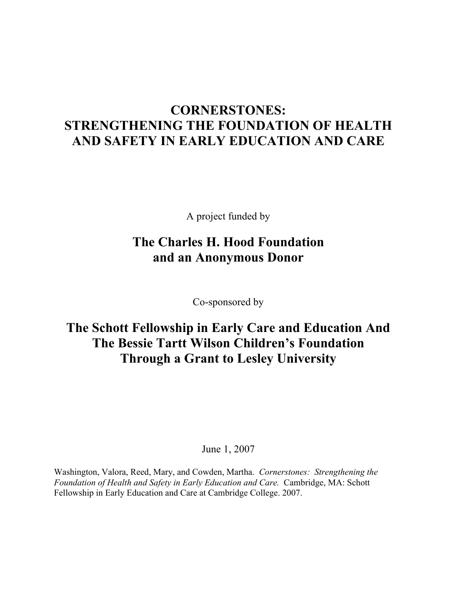# **CORNERSTONES: STRENGTHENING THE FOUNDATION OF HEALTH AND SAFETY IN EARLY EDUCATION AND CARE**

A project funded by

## **The Charles H. Hood Foundation and an Anonymous Donor**

Co-sponsored by

# **The Schott Fellowship in Early Care and Education And The Bessie Tartt Wilson Children's Foundation Through a Grant to Lesley University**

June 1, 2007

Washington, Valora, Reed, Mary, and Cowden, Martha. *Cornerstones: Strengthening the Foundation of Health and Safety in Early Education and Care.* Cambridge, MA: Schott Fellowship in Early Education and Care at Cambridge College. 2007.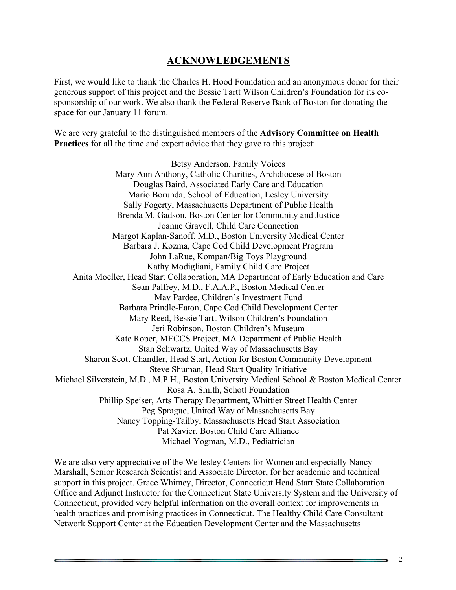### **ACKNOWLEDGEMENTS**

First, we would like to thank the Charles H. Hood Foundation and an anonymous donor for their generous support of this project and the Bessie Tartt Wilson Children's Foundation for its cosponsorship of our work. We also thank the Federal Reserve Bank of Boston for donating the space for our January 11 forum.

We are very grateful to the distinguished members of the **Advisory Committee on Health Practices** for all the time and expert advice that they gave to this project:

Betsy Anderson, Family Voices Mary Ann Anthony, Catholic Charities, Archdiocese of Boston Douglas Baird, Associated Early Care and Education Mario Borunda, School of Education, Lesley University Sally Fogerty, Massachusetts Department of Public Health Brenda M. Gadson, Boston Center for Community and Justice Joanne Gravell, Child Care Connection Margot Kaplan-Sanoff, M.D., Boston University Medical Center Barbara J. Kozma, Cape Cod Child Development Program John LaRue, Kompan/Big Toys Playground Kathy Modigliani, Family Child Care Project Anita Moeller, Head Start Collaboration, MA Department of Early Education and Care Sean Palfrey, M.D., F.A.A.P., Boston Medical Center Mav Pardee, Children's Investment Fund Barbara Prindle-Eaton, Cape Cod Child Development Center Mary Reed, Bessie Tartt Wilson Children's Foundation Jeri Robinson, Boston Children's Museum Kate Roper, MECCS Project, MA Department of Public Health Stan Schwartz, United Way of Massachusetts Bay Sharon Scott Chandler, Head Start, Action for Boston Community Development Steve Shuman, Head Start Quality Initiative Michael Silverstein, M.D., M.P.H., Boston University Medical School & Boston Medical Center Rosa A. Smith, Schott Foundation Phillip Speiser, Arts Therapy Department, Whittier Street Health Center Peg Sprague, United Way of Massachusetts Bay Nancy Topping-Tailby, Massachusetts Head Start Association Pat Xavier, Boston Child Care Alliance Michael Yogman, M.D., Pediatrician

We are also very appreciative of the Wellesley Centers for Women and especially Nancy Marshall, Senior Research Scientist and Associate Director, for her academic and technical support in this project. Grace Whitney, Director, Connecticut Head Start State Collaboration Office and Adjunct Instructor for the Connecticut State University System and the University of Connecticut, provided very helpful information on the overall context for improvements in health practices and promising practices in Connecticut. The Healthy Child Care Consultant Network Support Center at the Education Development Center and the Massachusetts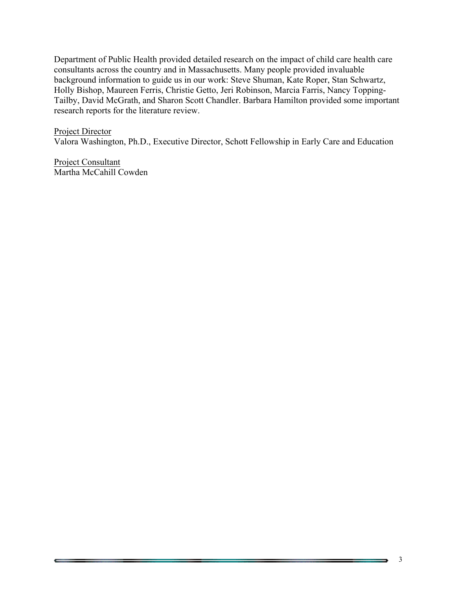Department of Public Health provided detailed research on the impact of child care health care consultants across the country and in Massachusetts. Many people provided invaluable background information to guide us in our work: Steve Shuman, Kate Roper, Stan Schwartz, Holly Bishop, Maureen Ferris, Christie Getto, Jeri Robinson, Marcia Farris, Nancy Topping-Tailby, David McGrath, and Sharon Scott Chandler. Barbara Hamilton provided some important research reports for the literature review.

#### Project Director

Valora Washington, Ph.D., Executive Director, Schott Fellowship in Early Care and Education

Project Consultant Martha McCahill Cowden

 $\overline{\phantom{a}}$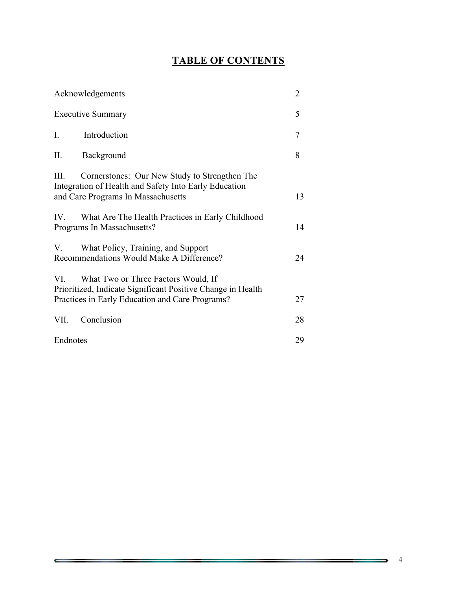## **TABLE OF CONTENTS**

| Acknowledgements                                                                                                                                              | $\overline{2}$ |
|---------------------------------------------------------------------------------------------------------------------------------------------------------------|----------------|
| <b>Executive Summary</b>                                                                                                                                      | 5              |
| $I_{\cdot}$<br>Introduction                                                                                                                                   | 7              |
| II.<br>Background                                                                                                                                             | 8              |
| Ш.<br>Cornerstones: Our New Study to Strengthen The<br>Integration of Health and Safety Into Early Education<br>and Care Programs In Massachusetts            | 13             |
| What Are The Health Practices in Early Childhood<br>$IV_{-}$<br>Programs In Massachusetts?                                                                    | 14             |
| What Policy, Training, and Support<br>V.<br>Recommendations Would Make A Difference?                                                                          | 24             |
| What Two or Three Factors Would, If<br>VI —<br>Prioritized, Indicate Significant Positive Change in Health<br>Practices in Early Education and Care Programs? | 27             |
| Conclusion<br>VII.                                                                                                                                            | 28             |
| Endnotes                                                                                                                                                      | 29             |

₹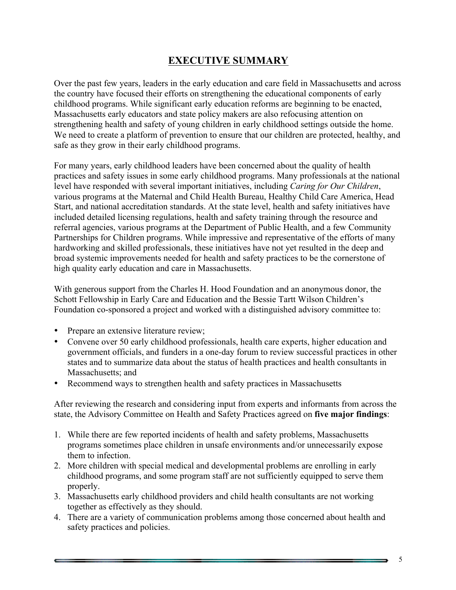## **EXECUTIVE SUMMARY**

Over the past few years, leaders in the early education and care field in Massachusetts and across the country have focused their efforts on strengthening the educational components of early childhood programs. While significant early education reforms are beginning to be enacted, Massachusetts early educators and state policy makers are also refocusing attention on strengthening health and safety of young children in early childhood settings outside the home. We need to create a platform of prevention to ensure that our children are protected, healthy, and safe as they grow in their early childhood programs.

For many years, early childhood leaders have been concerned about the quality of health practices and safety issues in some early childhood programs. Many professionals at the national level have responded with several important initiatives, including *Caring for Our Children*, various programs at the Maternal and Child Health Bureau, Healthy Child Care America, Head Start, and national accreditation standards. At the state level, health and safety initiatives have included detailed licensing regulations, health and safety training through the resource and referral agencies, various programs at the Department of Public Health, and a few Community Partnerships for Children programs. While impressive and representative of the efforts of many hardworking and skilled professionals, these initiatives have not yet resulted in the deep and broad systemic improvements needed for health and safety practices to be the cornerstone of high quality early education and care in Massachusetts.

With generous support from the Charles H. Hood Foundation and an anonymous donor, the Schott Fellowship in Early Care and Education and the Bessie Tartt Wilson Children's Foundation co-sponsored a project and worked with a distinguished advisory committee to:

- Prepare an extensive literature review;
- Convene over 50 early childhood professionals, health care experts, higher education and government officials, and funders in a one-day forum to review successful practices in other states and to summarize data about the status of health practices and health consultants in Massachusetts; and
- Recommend ways to strengthen health and safety practices in Massachusetts

After reviewing the research and considering input from experts and informants from across the state, the Advisory Committee on Health and Safety Practices agreed on **five major findings**:

- 1. While there are few reported incidents of health and safety problems, Massachusetts programs sometimes place children in unsafe environments and/or unnecessarily expose them to infection.
- 2. More children with special medical and developmental problems are enrolling in early childhood programs, and some program staff are not sufficiently equipped to serve them properly.
- 3. Massachusetts early childhood providers and child health consultants are not working together as effectively as they should.
- 4. There are a variety of communication problems among those concerned about health and safety practices and policies.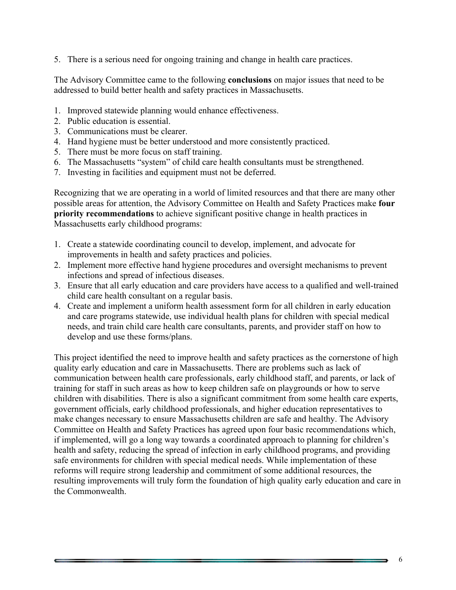5. There is a serious need for ongoing training and change in health care practices.

The Advisory Committee came to the following **conclusions** on major issues that need to be addressed to build better health and safety practices in Massachusetts.

- 1. Improved statewide planning would enhance effectiveness.
- 2. Public education is essential.
- 3. Communications must be clearer.
- 4. Hand hygiene must be better understood and more consistently practiced.
- 5. There must be more focus on staff training.
- 6. The Massachusetts "system" of child care health consultants must be strengthened.
- 7. Investing in facilities and equipment must not be deferred.

Recognizing that we are operating in a world of limited resources and that there are many other possible areas for attention, the Advisory Committee on Health and Safety Practices make **four priority recommendations** to achieve significant positive change in health practices in Massachusetts early childhood programs:

- 1. Create a statewide coordinating council to develop, implement, and advocate for improvements in health and safety practices and policies.
- 2. Implement more effective hand hygiene procedures and oversight mechanisms to prevent infections and spread of infectious diseases.
- 3. Ensure that all early education and care providers have access to a qualified and well-trained child care health consultant on a regular basis.
- 4. Create and implement a uniform health assessment form for all children in early education and care programs statewide, use individual health plans for children with special medical needs, and train child care health care consultants, parents, and provider staff on how to develop and use these forms/plans.

This project identified the need to improve health and safety practices as the cornerstone of high quality early education and care in Massachusetts. There are problems such as lack of communication between health care professionals, early childhood staff, and parents, or lack of training for staff in such areas as how to keep children safe on playgrounds or how to serve children with disabilities. There is also a significant commitment from some health care experts, government officials, early childhood professionals, and higher education representatives to make changes necessary to ensure Massachusetts children are safe and healthy. The Advisory Committee on Health and Safety Practices has agreed upon four basic recommendations which, if implemented, will go a long way towards a coordinated approach to planning for children's health and safety, reducing the spread of infection in early childhood programs, and providing safe environments for children with special medical needs. While implementation of these reforms will require strong leadership and commitment of some additional resources, the resulting improvements will truly form the foundation of high quality early education and care in the Commonwealth.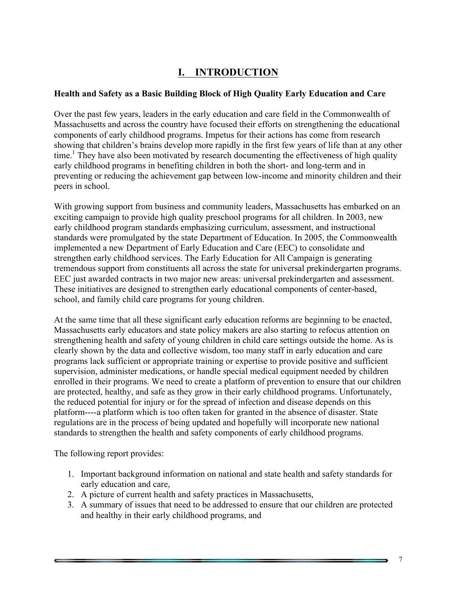## **I. INTRODUCTION**

#### **Health and Safety as a Basic Building Block of High Quality Early Education and Care**

Over the past few years, leaders in the early education and care field in the Commonwealth of Massachusetts and across the country have focused their efforts on strengthening the educational components of early childhood programs. Impetus for their actions has come from research showing that children's brains develop more rapidly in the first few years of life than at any other time.<sup>1</sup> They have also been motivated by research documenting the effectiveness of high quality early childhood programs in benefiting children in both the short- and long-term and in preventing or reducing the achievement gap between low-income and minority children and their peers in school.

With growing support from business and community leaders, Massachusetts has embarked on an exciting campaign to provide high quality preschool programs for all children. In 2003, new early childhood program standards emphasizing curriculum, assessment, and instructional standards were promulgated by the state Department of Education. In 2005, the Commonwealth implemented a new Department of Early Education and Care (EEC) to consolidate and strengthen early childhood services. The Early Education for All Campaign is generating tremendous support from constituents all across the state for universal prekindergarten programs. EEC just awarded contracts in two major new areas: universal prekindergarten and assessment. These initiatives are designed to strengthen early educational components of center-based, school, and family child care programs for young children.

At the same time that all these significant early education reforms are beginning to be enacted, Massachusetts early educators and state policy makers are also starting to refocus attention on strengthening health and safety of young children in child care settings outside the home. As is clearly shown by the data and collective wisdom, too many staff in early education and care programs lack sufficient or appropriate training or expertise to provide positive and sufficient supervision, administer medications, or handle special medical equipment needed by children enrolled in their programs. We need to create a platform of prevention to ensure that our children are protected, healthy, and safe as they grow in their early childhood programs. Unfortunately, the reduced potential for injury or for the spread of infection and disease depends on this platform----a platform which is too often taken for granted in the absence of disaster. State regulations are in the process of being updated and hopefully will incorporate new national standards to strengthen the health and safety components of early childhood programs.

The following report provides:

- 1. Important background information on national and state health and safety standards for early education and care,
- 2. A picture of current health and safety practices in Massachusetts,
- 3. A summary of issues that need to be addressed to ensure that our children are protected and healthy in their early childhood programs, and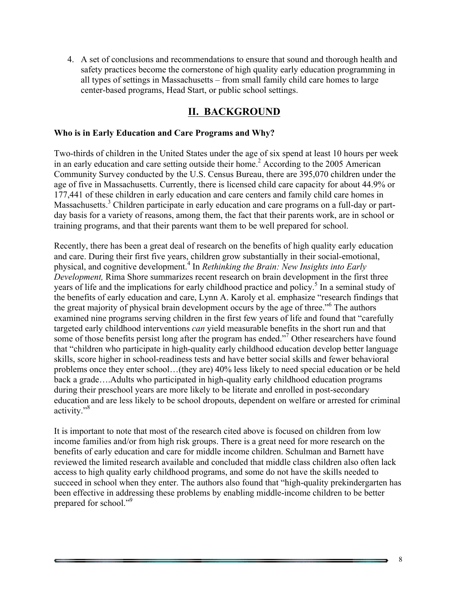4. A set of conclusions and recommendations to ensure that sound and thorough health and safety practices become the cornerstone of high quality early education programming in all types of settings in Massachusetts – from small family child care homes to large center-based programs, Head Start, or public school settings.

## **II. BACKGROUND**

#### **Who is in Early Education and Care Programs and Why?**

Two-thirds of children in the United States under the age of six spend at least 10 hours per week in an early education and care setting outside their home.<sup>2</sup> According to the 2005 American Community Survey conducted by the U.S. Census Bureau, there are 395,070 children under the age of five in Massachusetts. Currently, there is licensed child care capacity for about 44.9% or 177,441 of these children in early education and care centers and family child care homes in Massachusetts.<sup>3</sup> Children participate in early education and care programs on a full-day or partday basis for a variety of reasons, among them, the fact that their parents work, are in school or training programs, and that their parents want them to be well prepared for school.

Recently, there has been a great deal of research on the benefits of high quality early education and care. During their first five years, children grow substantially in their social-emotional, physical, and cognitive development.<sup>4</sup> In *Rethinking the Brain: New Insights into Early Development.* Rima Shore summarizes recent research on brain development in the first three years of life and the implications for early childhood practice and policy.<sup>5</sup> In a seminal study of the benefits of early education and care, Lynn A. Karoly et al. emphasize "research findings that the great majority of physical brain development occurs by the age of three."<sup>6</sup> The authors examined nine programs serving children in the first few years of life and found that "carefully targeted early childhood interventions *can* yield measurable benefits in the short run and that some of those benefits persist long after the program has ended."<sup>7</sup> Other researchers have found that "children who participate in high-quality early childhood education develop better language skills, score higher in school-readiness tests and have better social skills and fewer behavioral problems once they enter school…(they are) 40% less likely to need special education or be held back a grade….Adults who participated in high-quality early childhood education programs during their preschool years are more likely to be literate and enrolled in post-secondary education and are less likely to be school dropouts, dependent on welfare or arrested for criminal activity."<sup>8</sup>

It is important to note that most of the research cited above is focused on children from low income families and/or from high risk groups. There is a great need for more research on the benefits of early education and care for middle income children. Schulman and Barnett have reviewed the limited research available and concluded that middle class children also often lack access to high quality early childhood programs, and some do not have the skills needed to succeed in school when they enter. The authors also found that "high-quality prekindergarten has been effective in addressing these problems by enabling middle-income children to be better prepared for school."<sup>9</sup>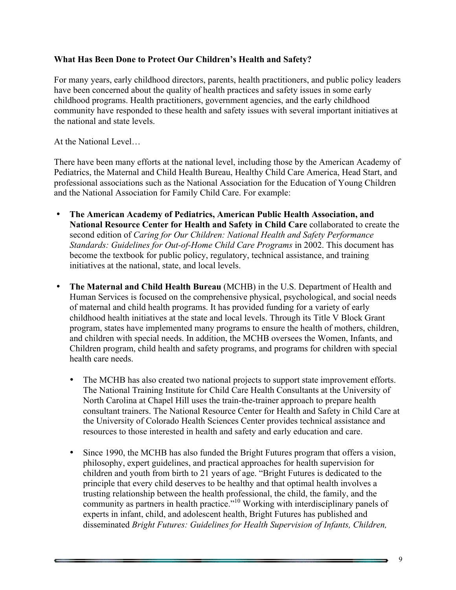#### **What Has Been Done to Protect Our Children's Health and Safety?**

For many years, early childhood directors, parents, health practitioners, and public policy leaders have been concerned about the quality of health practices and safety issues in some early childhood programs. Health practitioners, government agencies, and the early childhood community have responded to these health and safety issues with several important initiatives at the national and state levels.

At the National Level…

There have been many efforts at the national level, including those by the American Academy of Pediatrics, the Maternal and Child Health Bureau, Healthy Child Care America, Head Start, and professional associations such as the National Association for the Education of Young Children and the National Association for Family Child Care. For example:

- **The American Academy of Pediatrics, American Public Health Association, and National Resource Center for Health and Safety in Child Care** collaborated to create the second edition of *Caring for Our Children: National Health and Safety Performance Standards: Guidelines for Out-of-Home Child Care Programs* in 2002. This document has become the textbook for public policy, regulatory, technical assistance, and training initiatives at the national, state, and local levels.
- **The Maternal and Child Health Bureau** (MCHB) in the U.S. Department of Health and Human Services is focused on the comprehensive physical, psychological, and social needs of maternal and child health programs. It has provided funding for a variety of early childhood health initiatives at the state and local levels. Through its Title V Block Grant program, states have implemented many programs to ensure the health of mothers, children, and children with special needs. In addition, the MCHB oversees the Women, Infants, and Children program, child health and safety programs, and programs for children with special health care needs.
	- The MCHB has also created two national projects to support state improvement efforts. The National Training Institute for Child Care Health Consultants at the University of North Carolina at Chapel Hill uses the train-the-trainer approach to prepare health consultant trainers. The National Resource Center for Health and Safety in Child Care at the University of Colorado Health Sciences Center provides technical assistance and resources to those interested in health and safety and early education and care.
	- Since 1990, the MCHB has also funded the Bright Futures program that offers a vision, philosophy, expert guidelines, and practical approaches for health supervision for children and youth from birth to 21 years of age. "Bright Futures is dedicated to the principle that every child deserves to be healthy and that optimal health involves a trusting relationship between the health professional, the child, the family, and the community as partners in health practice."10 Working with interdisciplinary panels of experts in infant, child, and adolescent health, Bright Futures has published and disseminated *Bright Futures: Guidelines for Health Supervision of Infants, Children,*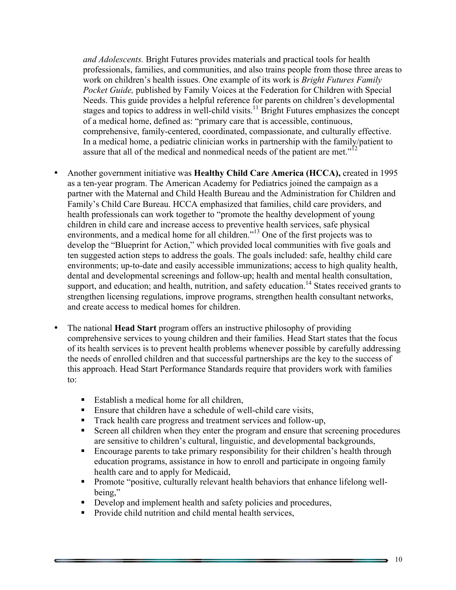*and Adolescents.* Bright Futures provides materials and practical tools for health professionals, families, and communities, and also trains people from those three areas to work on children's health issues. One example of its work is *Bright Futures Family Pocket Guide,* published by Family Voices at the Federation for Children with Special Needs. This guide provides a helpful reference for parents on children's developmental stages and topics to address in well-child visits.<sup>11</sup> Bright Futures emphasizes the concept of a medical home, defined as: "primary care that is accessible, continuous, comprehensive, family-centered, coordinated, compassionate, and culturally effective. In a medical home, a pediatric clinician works in partnership with the family/patient to assure that all of the medical and nonmedical needs of the patient are met."<sup>12</sup>

- Another government initiative was **Healthy Child Care America (HCCA),** created in 1995 as a ten-year program. The American Academy for Pediatrics joined the campaign as a partner with the Maternal and Child Health Bureau and the Administration for Children and Family's Child Care Bureau. HCCA emphasized that families, child care providers, and health professionals can work together to "promote the healthy development of young children in child care and increase access to preventive health services, safe physical environments, and a medical home for all children."<sup>13</sup> One of the first projects was to develop the "Blueprint for Action," which provided local communities with five goals and ten suggested action steps to address the goals. The goals included: safe, healthy child care environments; up-to-date and easily accessible immunizations; access to high quality health, dental and developmental screenings and follow-up; health and mental health consultation, support, and education; and health, nutrition, and safety education.<sup>14</sup> States received grants to strengthen licensing regulations, improve programs, strengthen health consultant networks, and create access to medical homes for children.
- The national **Head Start** program offers an instructive philosophy of providing comprehensive services to young children and their families. Head Start states that the focus of its health services is to prevent health problems whenever possible by carefully addressing the needs of enrolled children and that successful partnerships are the key to the success of this approach. Head Start Performance Standards require that providers work with families to:
	- Establish a medical home for all children,
	- Ensure that children have a schedule of well-child care visits,
	- Track health care progress and treatment services and follow-up,
	- Screen all children when they enter the program and ensure that screening procedures are sensitive to children's cultural, linguistic, and developmental backgrounds,
	- Encourage parents to take primary responsibility for their children's health through education programs, assistance in how to enroll and participate in ongoing family health care and to apply for Medicaid,
	- Promote "positive, culturally relevant health behaviors that enhance lifelong wellbeing,"
	- Develop and implement health and safety policies and procedures,
	- Provide child nutrition and child mental health services,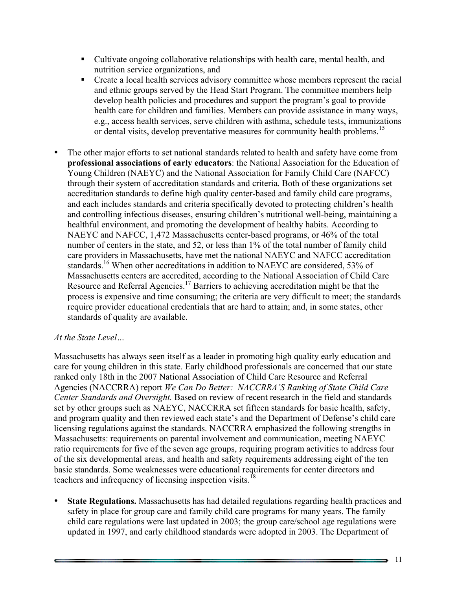- § Cultivate ongoing collaborative relationships with health care, mental health, and nutrition service organizations, and
- Create a local health services advisory committee whose members represent the racial and ethnic groups served by the Head Start Program. The committee members help develop health policies and procedures and support the program's goal to provide health care for children and families. Members can provide assistance in many ways, e.g., access health services, serve children with asthma, schedule tests, immunizations or dental visits, develop preventative measures for community health problems.<sup>15</sup>
- The other major efforts to set national standards related to health and safety have come from **professional associations of early educators**: the National Association for the Education of Young Children (NAEYC) and the National Association for Family Child Care (NAFCC) through their system of accreditation standards and criteria. Both of these organizations set accreditation standards to define high quality center-based and family child care programs, and each includes standards and criteria specifically devoted to protecting children's health and controlling infectious diseases, ensuring children's nutritional well-being, maintaining a healthful environment, and promoting the development of healthy habits. According to NAEYC and NAFCC, 1,472 Massachusetts center-based programs, or 46% of the total number of centers in the state, and 52, or less than 1% of the total number of family child care providers in Massachusetts, have met the national NAEYC and NAFCC accreditation standards.16 When other accreditations in addition to NAEYC are considered, 53% of Massachusetts centers are accredited, according to the National Association of Child Care Resource and Referral Agencies.17 Barriers to achieving accreditation might be that the process is expensive and time consuming; the criteria are very difficult to meet; the standards require provider educational credentials that are hard to attain; and, in some states, other standards of quality are available.

#### *At the State Level…*

Massachusetts has always seen itself as a leader in promoting high quality early education and care for young children in this state. Early childhood professionals are concerned that our state ranked only 18th in the 2007 National Association of Child Care Resource and Referral Agencies (NACCRRA) report *We Can Do Better: NACCRRA'S Ranking of State Child Care Center Standards and Oversight.* Based on review of recent research in the field and standards set by other groups such as NAEYC, NACCRRA set fifteen standards for basic health, safety, and program quality and then reviewed each state's and the Department of Defense's child care licensing regulations against the standards. NACCRRA emphasized the following strengths in Massachusetts: requirements on parental involvement and communication, meeting NAEYC ratio requirements for five of the seven age groups, requiring program activities to address four of the six developmental areas, and health and safety requirements addressing eight of the ten basic standards. Some weaknesses were educational requirements for center directors and teachers and infrequency of licensing inspection visits.<sup>1</sup>

• **State Regulations.** Massachusetts has had detailed regulations regarding health practices and safety in place for group care and family child care programs for many years. The family child care regulations were last updated in 2003; the group care/school age regulations were updated in 1997, and early childhood standards were adopted in 2003. The Department of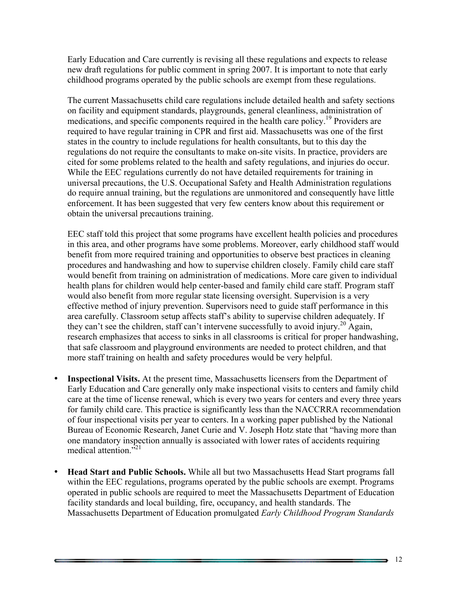Early Education and Care currently is revising all these regulations and expects to release new draft regulations for public comment in spring 2007. It is important to note that early childhood programs operated by the public schools are exempt from these regulations.

The current Massachusetts child care regulations include detailed health and safety sections on facility and equipment standards, playgrounds, general cleanliness, administration of medications, and specific components required in the health care policy.19 Providers are required to have regular training in CPR and first aid. Massachusetts was one of the first states in the country to include regulations for health consultants, but to this day the regulations do not require the consultants to make on-site visits. In practice, providers are cited for some problems related to the health and safety regulations, and injuries do occur. While the EEC regulations currently do not have detailed requirements for training in universal precautions, the U.S. Occupational Safety and Health Administration regulations do require annual training, but the regulations are unmonitored and consequently have little enforcement. It has been suggested that very few centers know about this requirement or obtain the universal precautions training.

EEC staff told this project that some programs have excellent health policies and procedures in this area, and other programs have some problems. Moreover, early childhood staff would benefit from more required training and opportunities to observe best practices in cleaning procedures and handwashing and how to supervise children closely. Family child care staff would benefit from training on administration of medications. More care given to individual health plans for children would help center-based and family child care staff. Program staff would also benefit from more regular state licensing oversight. Supervision is a very effective method of injury prevention. Supervisors need to guide staff performance in this area carefully. Classroom setup affects staff's ability to supervise children adequately. If they can't see the children, staff can't intervene successfully to avoid injury.<sup>20</sup> Again, research emphasizes that access to sinks in all classrooms is critical for proper handwashing, that safe classroom and playground environments are needed to protect children, and that more staff training on health and safety procedures would be very helpful.

- **Inspectional Visits.** At the present time, Massachusetts licensers from the Department of Early Education and Care generally only make inspectional visits to centers and family child care at the time of license renewal, which is every two years for centers and every three years for family child care. This practice is significantly less than the NACCRRA recommendation of four inspectional visits per year to centers. In a working paper published by the National Bureau of Economic Research, Janet Curie and V. Joseph Hotz state that "having more than one mandatory inspection annually is associated with lower rates of accidents requiring medical attention."21
- **Head Start and Public Schools.** While all but two Massachusetts Head Start programs fall within the EEC regulations, programs operated by the public schools are exempt. Programs operated in public schools are required to meet the Massachusetts Department of Education facility standards and local building, fire, occupancy, and health standards. The Massachusetts Department of Education promulgated *Early Childhood Program Standards*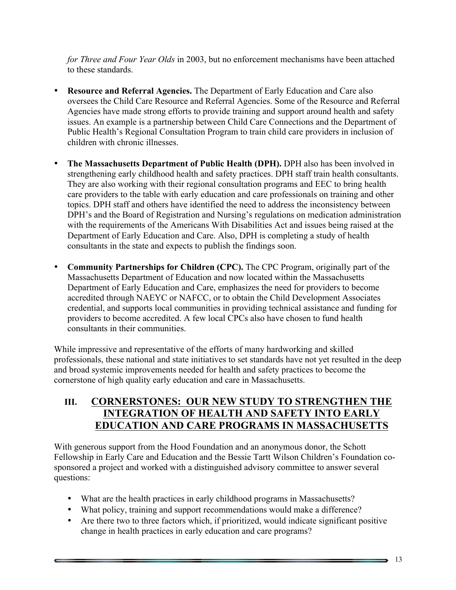*for Three and Four Year Olds* in 2003, but no enforcement mechanisms have been attached to these standards.

- **Resource and Referral Agencies.** The Department of Early Education and Care also oversees the Child Care Resource and Referral Agencies. Some of the Resource and Referral Agencies have made strong efforts to provide training and support around health and safety issues. An example is a partnership between Child Care Connections and the Department of Public Health's Regional Consultation Program to train child care providers in inclusion of children with chronic illnesses.
- **The Massachusetts Department of Public Health (DPH).** DPH also has been involved in strengthening early childhood health and safety practices. DPH staff train health consultants. They are also working with their regional consultation programs and EEC to bring health care providers to the table with early education and care professionals on training and other topics. DPH staff and others have identified the need to address the inconsistency between DPH's and the Board of Registration and Nursing's regulations on medication administration with the requirements of the Americans With Disabilities Act and issues being raised at the Department of Early Education and Care. Also, DPH is completing a study of health consultants in the state and expects to publish the findings soon.
- **Community Partnerships for Children (CPC).** The CPC Program, originally part of the Massachusetts Department of Education and now located within the Massachusetts Department of Early Education and Care, emphasizes the need for providers to become accredited through NAEYC or NAFCC, or to obtain the Child Development Associates credential, and supports local communities in providing technical assistance and funding for providers to become accredited. A few local CPCs also have chosen to fund health consultants in their communities.

While impressive and representative of the efforts of many hardworking and skilled professionals, these national and state initiatives to set standards have not yet resulted in the deep and broad systemic improvements needed for health and safety practices to become the cornerstone of high quality early education and care in Massachusetts.

## **III. CORNERSTONES: OUR NEW STUDY TO STRENGTHEN THE INTEGRATION OF HEALTH AND SAFETY INTO EARLY EDUCATION AND CARE PROGRAMS IN MASSACHUSETTS**

With generous support from the Hood Foundation and an anonymous donor, the Schott Fellowship in Early Care and Education and the Bessie Tartt Wilson Children's Foundation cosponsored a project and worked with a distinguished advisory committee to answer several questions:

- What are the health practices in early childhood programs in Massachusetts?
- What policy, training and support recommendations would make a difference?
- Are there two to three factors which, if prioritized, would indicate significant positive change in health practices in early education and care programs?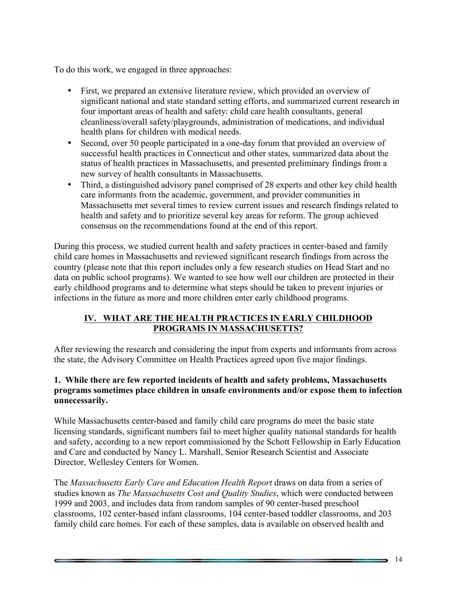To do this work, we engaged in three approaches:

- First, we prepared an extensive literature review, which provided an overview of significant national and state standard setting efforts, and summarized current research in four important areas of health and safety: child care health consultants, general cleanliness/overall safety/playgrounds, administration of medications, and individual health plans for children with medical needs.
- Second, over 50 people participated in a one-day forum that provided an overview of successful health practices in Connecticut and other states, summarized data about the status of health practices in Massachusetts, and presented preliminary findings from a new survey of health consultants in Massachusetts.
- Third, a distinguished advisory panel comprised of 28 experts and other key child health care informants from the academic, government, and provider communities in Massachusetts met several times to review current issues and research findings related to health and safety and to prioritize several key areas for reform. The group achieved consensus on the recommendations found at the end of this report.

During this process, we studied current health and safety practices in center-based and family child care homes in Massachusetts and reviewed significant research findings from across the country (please note that this report includes only a few research studies on Head Start and no data on public school programs). We wanted to see how well our children are protected in their early childhood programs and to determine what steps should be taken to prevent injuries or infections in the future as more and more children enter early childhood programs.

#### **IV. WHAT ARE THE HEALTH PRACTICES IN EARLY CHILDHOOD PROGRAMS IN MASSACHUSETTS?**

After reviewing the research and considering the input from experts and informants from across the state, the Advisory Committee on Health Practices agreed upon five major findings.

#### **1. While there are few reported incidents of health and safety problems, Massachusetts programs sometimes place children in unsafe environments and/or expose them to infection unnecessarily.**

While Massachusetts center-based and family child care programs do meet the basic state licensing standards, significant numbers fail to meet higher quality national standards for health and safety, according to a new report commissioned by the Schott Fellowship in Early Education and Care and conducted by Nancy L. Marshall, Senior Research Scientist and Associate Director, Wellesley Centers for Women.

The *Massachusetts Early Care and Education Health Report* draws on data from a series of studies known as *The Massachusetts Cost and Quality Studies*, which were conducted between 1999 and 2003, and includes data from random samples of 90 center-based preschool classrooms, 102 center-based infant classrooms, 104 center-based toddler classrooms, and 203 family child care homes. For each of these samples, data is available on observed health and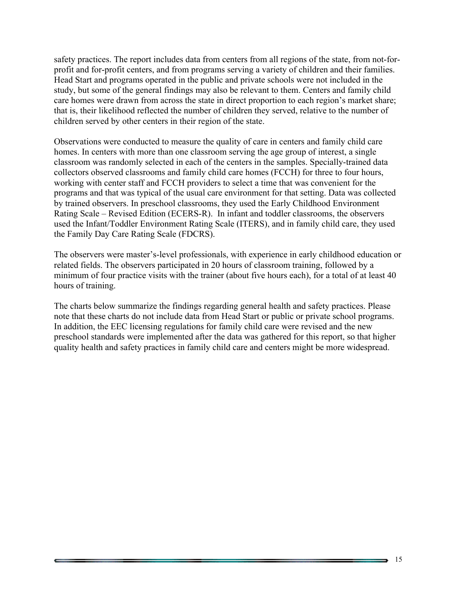safety practices. The report includes data from centers from all regions of the state, from not-forprofit and for-profit centers, and from programs serving a variety of children and their families. Head Start and programs operated in the public and private schools were not included in the study, but some of the general findings may also be relevant to them. Centers and family child care homes were drawn from across the state in direct proportion to each region's market share; that is, their likelihood reflected the number of children they served, relative to the number of children served by other centers in their region of the state.

Observations were conducted to measure the quality of care in centers and family child care homes. In centers with more than one classroom serving the age group of interest, a single classroom was randomly selected in each of the centers in the samples. Specially-trained data collectors observed classrooms and family child care homes (FCCH) for three to four hours, working with center staff and FCCH providers to select a time that was convenient for the programs and that was typical of the usual care environment for that setting. Data was collected by trained observers. In preschool classrooms, they used the Early Childhood Environment Rating Scale – Revised Edition (ECERS-R). In infant and toddler classrooms, the observers used the Infant/Toddler Environment Rating Scale (ITERS), and in family child care, they used the Family Day Care Rating Scale (FDCRS).

The observers were master's-level professionals, with experience in early childhood education or related fields. The observers participated in 20 hours of classroom training, followed by a minimum of four practice visits with the trainer (about five hours each), for a total of at least 40 hours of training.

The charts below summarize the findings regarding general health and safety practices. Please note that these charts do not include data from Head Start or public or private school programs. In addition, the EEC licensing regulations for family child care were revised and the new preschool standards were implemented after the data was gathered for this report, so that higher quality health and safety practices in family child care and centers might be more widespread.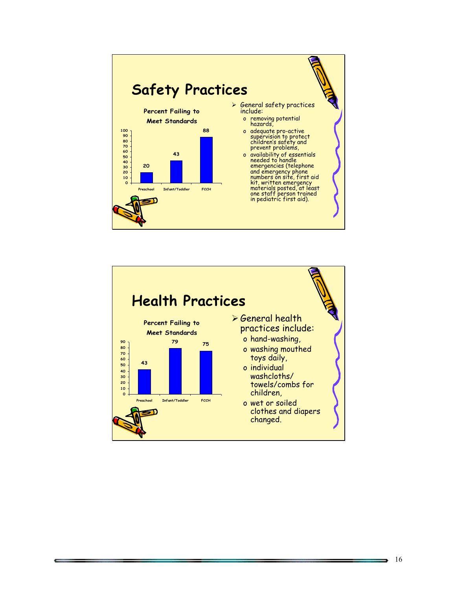



,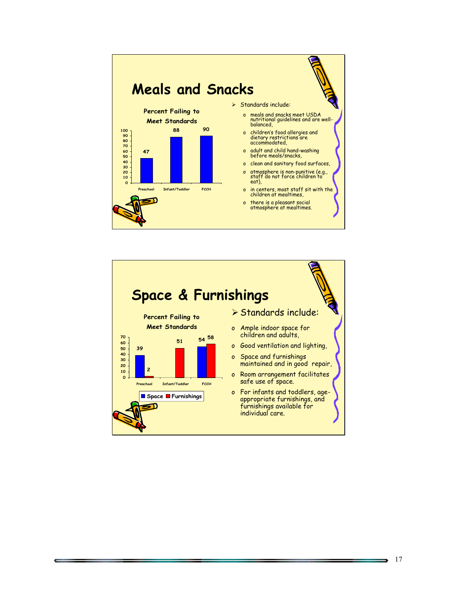



 $\overline{\phantom{a}}$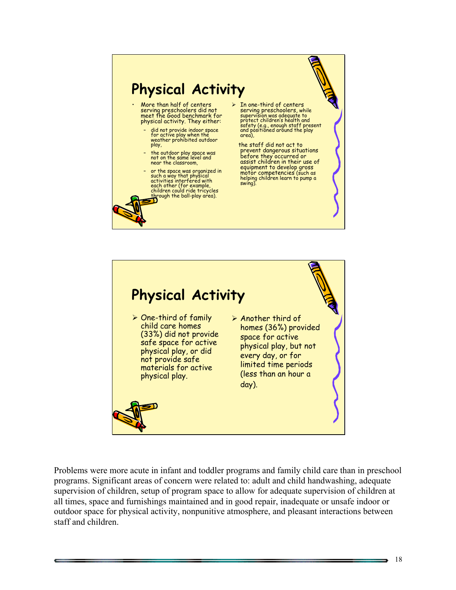# **Physical Activity**

- More than half of centers serving preschoolers did not meet the Good benchmark for physical activity. They either:
	- did not provide indoor space for active play when the weather prohibited outdoor play,
	- the outdoor play space was not on the same level and near the classroom,
	- or the space was organized in such a way that physical activities interfered with each other (for example,<br>children could ride tricycles<br><u>th</u>rough the ball-play area).
- $\triangleright$  In one-third of centers serving preschoolers, while supervision was adequate to protect children's health and safety (e.g., enough staff present and positioned around the play area),

the staff did not act to prevent dangerous situations before they occurred or assist children in their use of equipment to develop gross motor competencies (such as helping children learn to pump a swing).



Problems were more acute in infant and toddler programs and family child care than in preschool programs. Significant areas of concern were related to: adult and child handwashing, adequate supervision of children, setup of program space to allow for adequate supervision of children at all times, space and furnishings maintained and in good repair, inadequate or unsafe indoor or outdoor space for physical activity, nonpunitive atmosphere, and pleasant interactions between staff and children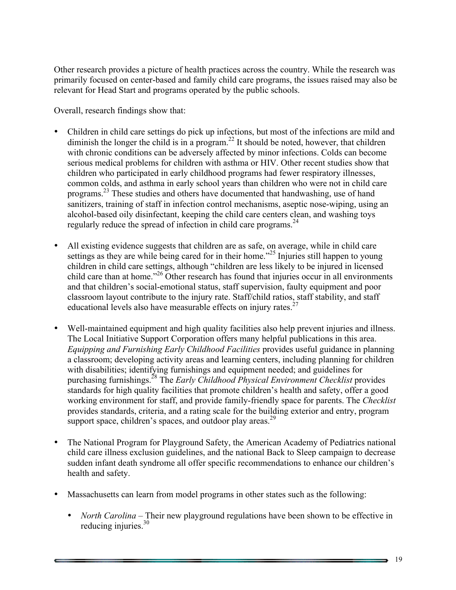Other research provides a picture of health practices across the country. While the research was primarily focused on center-based and family child care programs, the issues raised may also be relevant for Head Start and programs operated by the public schools.

Overall, research findings show that:

- Children in child care settings do pick up infections, but most of the infections are mild and diminish the longer the child is in a program.<sup>22</sup> It should be noted, however, that children with chronic conditions can be adversely affected by minor infections. Colds can become serious medical problems for children with asthma or HIV. Other recent studies show that children who participated in early childhood programs had fewer respiratory illnesses, common colds, and asthma in early school years than children who were not in child care programs. <sup>23</sup> These studies and others have documented that handwashing, use of hand sanitizers, training of staff in infection control mechanisms, aseptic nose-wiping, using an alcohol-based oily disinfectant, keeping the child care centers clean, and washing toys regularly reduce the spread of infection in child care programs. 24
- All existing evidence suggests that children are as safe, on average, while in child care settings as they are while being cared for in their home.<sup> $25$ </sup> Injuries still happen to young children in child care settings, although "children are less likely to be injured in licensed child care than at home.<sup>226</sup> Other research has found that injuries occur in all environments and that children's social-emotional status, staff supervision, faulty equipment and poor classroom layout contribute to the injury rate. Staff/child ratios, staff stability, and staff educational levels also have measurable effects on injury rates. $27$
- Well-maintained equipment and high quality facilities also help prevent injuries and illness. The Local Initiative Support Corporation offers many helpful publications in this area. *Equipping and Furnishing Early Childhood Facilities* provides useful guidance in planning a classroom; developing activity areas and learning centers, including planning for children with disabilities; identifying furnishings and equipment needed; and guidelines for purchasing furnishings.<sup>28</sup> The *Early Childhood Physical Environment Checklist* provides standards for high quality facilities that promote children's health and safety, offer a good working environment for staff, and provide family-friendly space for parents. The *Checklist* provides standards, criteria, and a rating scale for the building exterior and entry, program support space, children's spaces, and outdoor play areas.<sup>29</sup>
- The National Program for Playground Safety, the American Academy of Pediatrics national child care illness exclusion guidelines, and the national Back to Sleep campaign to decrease sudden infant death syndrome all offer specific recommendations to enhance our children's health and safety.
- Massachusetts can learn from model programs in other states such as the following:
	- *North Carolina* Their new playground regulations have been shown to be effective in reducing injuries.<sup>30</sup>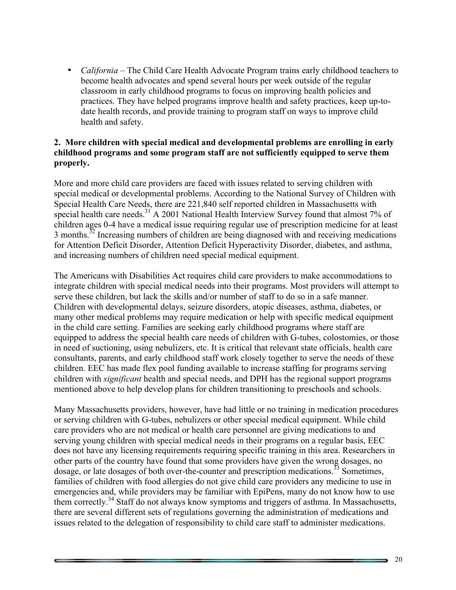• *California* – The Child Care Health Advocate Program trains early childhood teachers to become health advocates and spend several hours per week outside of the regular classroom in early childhood programs to focus on improving health policies and practices. They have helped programs improve health and safety practices, keep up-todate health records, and provide training to program staff on ways to improve child health and safety.

#### **2. More children with special medical and developmental problems are enrolling in early childhood programs and some program staff are not sufficiently equipped to serve them properly.**

More and more child care providers are faced with issues related to serving children with special medical or developmental problems. According to the National Survey of Children with Special Health Care Needs, there are 221,840 self reported children in Massachusetts with special health care needs.<sup>31</sup> A 2001 National Health Interview Survey found that almost 7% of children ages 0-4 have a medical issue requiring regular use of prescription medicine for at least  $3$  months.<sup>32</sup> Increasing numbers of children are being diagnosed with and receiving medications for Attention Deficit Disorder, Attention Deficit Hyperactivity Disorder, diabetes, and asthma, and increasing numbers of children need special medical equipment.

The Americans with Disabilities Act requires child care providers to make accommodations to integrate children with special medical needs into their programs. Most providers will attempt to serve these children, but lack the skills and/or number of staff to do so in a safe manner. Children with developmental delays, seizure disorders, atopic diseases, asthma, diabetes, or many other medical problems may require medication or help with specific medical equipment in the child care setting. Families are seeking early childhood programs where staff are equipped to address the special health care needs of children with G-tubes, colostomies, or those in need of suctioning, using nebulizers, etc. It is critical that relevant state officials, health care consultants, parents, and early childhood staff work closely together to serve the needs of these children. EEC has made flex pool funding available to increase staffing for programs serving children with *significant* health and special needs, and DPH has the regional support programs mentioned above to help develop plans for children transitioning to preschools and schools.

Many Massachusetts providers, however, have had little or no training in medication procedures or serving children with G-tubes, nebulizers or other special medical equipment. While child care providers who are not medical or health care personnel are giving medications to and serving young children with special medical needs in their programs on a regular basis, EEC does not have any licensing requirements requiring specific training in this area. Researchers in other parts of the country have found that some providers have given the wrong dosages, no dosage, or late dosages of both over-the-counter and prescription medications. $33$  Sometimes, families of children with food allergies do not give child care providers any medicine to use in emergencies and, while providers may be familiar with EpiPens, many do not know how to use them correctly.<sup>34</sup> Staff do not always know symptoms and triggers of asthma. In Massachusetts, there are several different sets of regulations governing the administration of medications and issues related to the delegation of responsibility to child care staff to administer medications.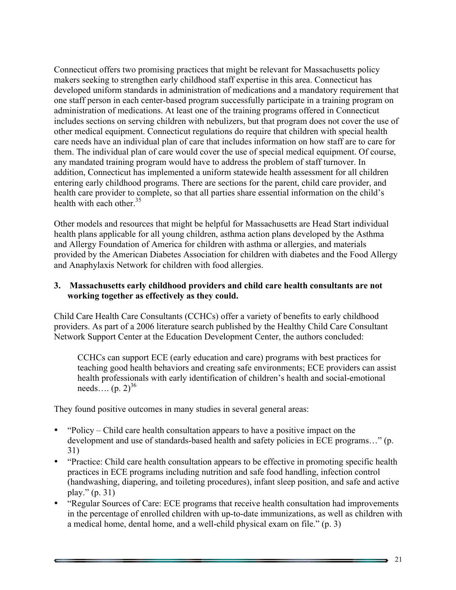Connecticut offers two promising practices that might be relevant for Massachusetts policy makers seeking to strengthen early childhood staff expertise in this area. Connecticut has developed uniform standards in administration of medications and a mandatory requirement that one staff person in each center-based program successfully participate in a training program on administration of medications. At least one of the training programs offered in Connecticut includes sections on serving children with nebulizers, but that program does not cover the use of other medical equipment. Connecticut regulations do require that children with special health care needs have an individual plan of care that includes information on how staff are to care for them. The individual plan of care would cover the use of special medical equipment. Of course, any mandated training program would have to address the problem of staff turnover. In addition, Connecticut has implemented a uniform statewide health assessment for all children entering early childhood programs. There are sections for the parent, child care provider, and health care provider to complete, so that all parties share essential information on the child's health with each other  $35$ 

Other models and resources that might be helpful for Massachusetts are Head Start individual health plans applicable for all young children, asthma action plans developed by the Asthma and Allergy Foundation of America for children with asthma or allergies, and materials provided by the American Diabetes Association for children with diabetes and the Food Allergy and Anaphylaxis Network for children with food allergies.

#### **3. Massachusetts early childhood providers and child care health consultants are not working together as effectively as they could.**

Child Care Health Care Consultants (CCHCs) offer a variety of benefits to early childhood providers. As part of a 2006 literature search published by the Healthy Child Care Consultant Network Support Center at the Education Development Center, the authors concluded:

CCHCs can support ECE (early education and care) programs with best practices for teaching good health behaviors and creating safe environments; ECE providers can assist health professionals with early identification of children's health and social-emotional needs....  $(p. 2)^{36}$ 

They found positive outcomes in many studies in several general areas:

- "Policy Child care health consultation appears to have a positive impact on the development and use of standards-based health and safety policies in ECE programs…" (p. 31)
- "Practice: Child care health consultation appears to be effective in promoting specific health practices in ECE programs including nutrition and safe food handling, infection control (handwashing, diapering, and toileting procedures), infant sleep position, and safe and active play." (p. 31)
- "Regular Sources of Care: ECE programs that receive health consultation had improvements in the percentage of enrolled children with up-to-date immunizations, as well as children with a medical home, dental home, and a well-child physical exam on file." (p. 3)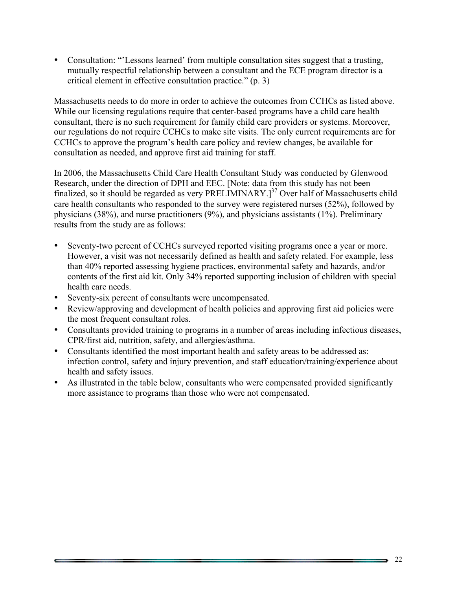• Consultation: "'Lessons learned' from multiple consultation sites suggest that a trusting, mutually respectful relationship between a consultant and the ECE program director is a critical element in effective consultation practice." (p. 3)

Massachusetts needs to do more in order to achieve the outcomes from CCHCs as listed above. While our licensing regulations require that center-based programs have a child care health consultant, there is no such requirement for family child care providers or systems. Moreover, our regulations do not require CCHCs to make site visits. The only current requirements are for CCHCs to approve the program's health care policy and review changes, be available for consultation as needed, and approve first aid training for staff.

In 2006, the Massachusetts Child Care Health Consultant Study was conducted by Glenwood Research, under the direction of DPH and EEC. [Note: data from this study has not been finalized, so it should be regarded as very PRELIMINARY.<sup>[37</sup> Over half of Massachusetts child care health consultants who responded to the survey were registered nurses (52%), followed by physicians (38%), and nurse practitioners (9%), and physicians assistants (1%). Preliminary results from the study are as follows:

- Seventy-two percent of CCHCs surveyed reported visiting programs once a year or more. However, a visit was not necessarily defined as health and safety related. For example, less than 40% reported assessing hygiene practices, environmental safety and hazards, and/or contents of the first aid kit. Only 34% reported supporting inclusion of children with special health care needs.
- Seventy-six percent of consultants were uncompensated.
- Review/approving and development of health policies and approving first aid policies were the most frequent consultant roles.
- Consultants provided training to programs in a number of areas including infectious diseases, CPR/first aid, nutrition, safety, and allergies/asthma.
- Consultants identified the most important health and safety areas to be addressed as: infection control, safety and injury prevention, and staff education/training/experience about health and safety issues.
- As illustrated in the table below, consultants who were compensated provided significantly more assistance to programs than those who were not compensated.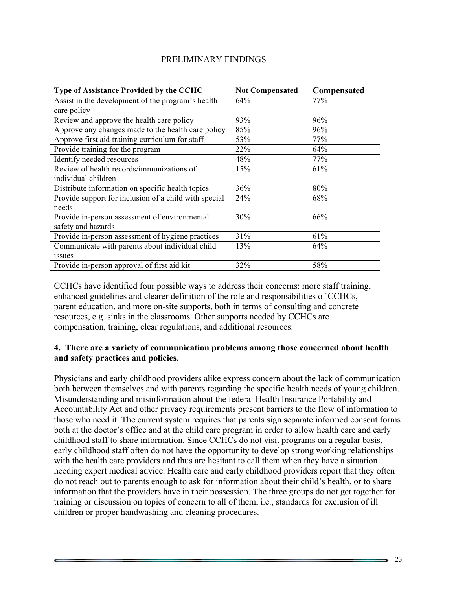#### PRELIMINARY FINDINGS

| Type of Assistance Provided by the CCHC               | <b>Not Compensated</b> | Compensated |
|-------------------------------------------------------|------------------------|-------------|
| Assist in the development of the program's health     | 64%                    | 77%         |
| care policy                                           |                        |             |
| Review and approve the health care policy             | 93%                    | 96%         |
| Approve any changes made to the health care policy    | 85%                    | 96%         |
| Approve first aid training curriculum for staff       | 53%                    | 77%         |
| Provide training for the program                      | 22%                    | 64%         |
| Identify needed resources                             | 48%                    | 77%         |
| Review of health records/immunizations of             | 15%                    | 61%         |
| individual children                                   |                        |             |
| Distribute information on specific health topics      | 36%                    | 80%         |
| Provide support for inclusion of a child with special | 24%                    | 68%         |
| needs                                                 |                        |             |
| Provide in-person assessment of environmental         | 30%                    | 66%         |
| safety and hazards                                    |                        |             |
| Provide in-person assessment of hygiene practices     | 31%                    | 61%         |
| Communicate with parents about individual child       | 13%                    | 64%         |
| issues                                                |                        |             |
| Provide in-person approval of first aid kit           | 32%                    | 58%         |

CCHCs have identified four possible ways to address their concerns: more staff training, enhanced guidelines and clearer definition of the role and responsibilities of CCHCs, parent education, and more on-site supports, both in terms of consulting and concrete resources, e.g. sinks in the classrooms. Other supports needed by CCHCs are compensation, training, clear regulations, and additional resources.

#### **4. There are a variety of communication problems among those concerned about health and safety practices and policies.**

Physicians and early childhood providers alike express concern about the lack of communication both between themselves and with parents regarding the specific health needs of young children. Misunderstanding and misinformation about the federal Health Insurance Portability and Accountability Act and other privacy requirements present barriers to the flow of information to those who need it. The current system requires that parents sign separate informed consent forms both at the doctor's office and at the child care program in order to allow health care and early childhood staff to share information. Since CCHCs do not visit programs on a regular basis, early childhood staff often do not have the opportunity to develop strong working relationships with the health care providers and thus are hesitant to call them when they have a situation needing expert medical advice. Health care and early childhood providers report that they often do not reach out to parents enough to ask for information about their child's health, or to share information that the providers have in their possession. The three groups do not get together for training or discussion on topics of concern to all of them, i.e., standards for exclusion of ill children or proper handwashing and cleaning procedures.

\_\_\_\_\_\_\_\_\_\_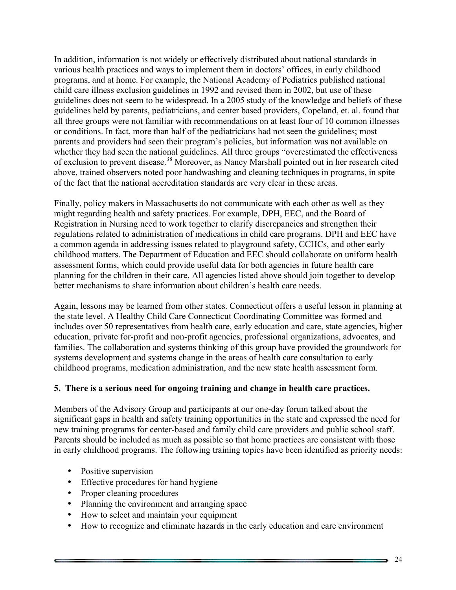In addition, information is not widely or effectively distributed about national standards in various health practices and ways to implement them in doctors' offices, in early childhood programs, and at home. For example, the National Academy of Pediatrics published national child care illness exclusion guidelines in 1992 and revised them in 2002, but use of these guidelines does not seem to be widespread. In a 2005 study of the knowledge and beliefs of these guidelines held by parents, pediatricians, and center based providers, Copeland, et. al. found that all three groups were not familiar with recommendations on at least four of 10 common illnesses or conditions. In fact, more than half of the pediatricians had not seen the guidelines; most parents and providers had seen their program's policies, but information was not available on whether they had seen the national guidelines. All three groups "overestimated the effectiveness of exclusion to prevent disease.<sup>38</sup> Moreover, as Nancy Marshall pointed out in her research cited above, trained observers noted poor handwashing and cleaning techniques in programs, in spite of the fact that the national accreditation standards are very clear in these areas.

Finally, policy makers in Massachusetts do not communicate with each other as well as they might regarding health and safety practices. For example, DPH, EEC, and the Board of Registration in Nursing need to work together to clarify discrepancies and strengthen their regulations related to administration of medications in child care programs. DPH and EEC have a common agenda in addressing issues related to playground safety, CCHCs, and other early childhood matters. The Department of Education and EEC should collaborate on uniform health assessment forms, which could provide useful data for both agencies in future health care planning for the children in their care. All agencies listed above should join together to develop better mechanisms to share information about children's health care needs.

Again, lessons may be learned from other states. Connecticut offers a useful lesson in planning at the state level. A Healthy Child Care Connecticut Coordinating Committee was formed and includes over 50 representatives from health care, early education and care, state agencies, higher education, private for-profit and non-profit agencies, professional organizations, advocates, and families. The collaboration and systems thinking of this group have provided the groundwork for systems development and systems change in the areas of health care consultation to early childhood programs, medication administration, and the new state health assessment form.

#### **5. There is a serious need for ongoing training and change in health care practices.**

Members of the Advisory Group and participants at our one-day forum talked about the significant gaps in health and safety training opportunities in the state and expressed the need for new training programs for center-based and family child care providers and public school staff. Parents should be included as much as possible so that home practices are consistent with those in early childhood programs. The following training topics have been identified as priority needs:

- Positive supervision
- Effective procedures for hand hygiene
- Proper cleaning procedures
- Planning the environment and arranging space
- How to select and maintain your equipment
- How to recognize and eliminate hazards in the early education and care environment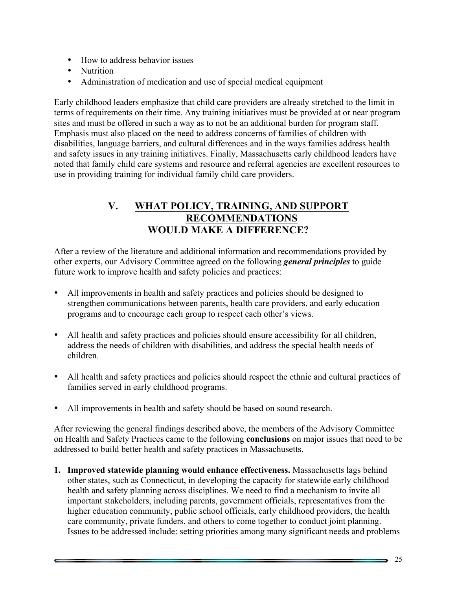- How to address behavior issues
- Nutrition
- Administration of medication and use of special medical equipment

Early childhood leaders emphasize that child care providers are already stretched to the limit in terms of requirements on their time. Any training initiatives must be provided at or near program sites and must be offered in such a way as to not be an additional burden for program staff. Emphasis must also placed on the need to address concerns of families of children with disabilities, language barriers, and cultural differences and in the ways families address health and safety issues in any training initiatives. Finally, Massachusetts early childhood leaders have noted that family child care systems and resource and referral agencies are excellent resources to use in providing training for individual family child care providers.

## **V. WHAT POLICY, TRAINING, AND SUPPORT RECOMMENDATIONS WOULD MAKE A DIFFERENCE?**

After a review of the literature and additional information and recommendations provided by other experts, our Advisory Committee agreed on the following *general principles* to guide future work to improve health and safety policies and practices:

- All improvements in health and safety practices and policies should be designed to strengthen communications between parents, health care providers, and early education programs and to encourage each group to respect each other's views.
- All health and safety practices and policies should ensure accessibility for all children, address the needs of children with disabilities, and address the special health needs of children.
- All health and safety practices and policies should respect the ethnic and cultural practices of families served in early childhood programs.
- All improvements in health and safety should be based on sound research.

After reviewing the general findings described above, the members of the Advisory Committee on Health and Safety Practices came to the following **conclusions** on major issues that need to be addressed to build better health and safety practices in Massachusetts.

**1. Improved statewide planning would enhance effectiveness.** Massachusetts lags behind other states, such as Connecticut, in developing the capacity for statewide early childhood health and safety planning across disciplines. We need to find a mechanism to invite all important stakeholders, including parents, government officials, representatives from the higher education community, public school officials, early childhood providers, the health care community, private funders, and others to come together to conduct joint planning. Issues to be addressed include: setting priorities among many significant needs and problems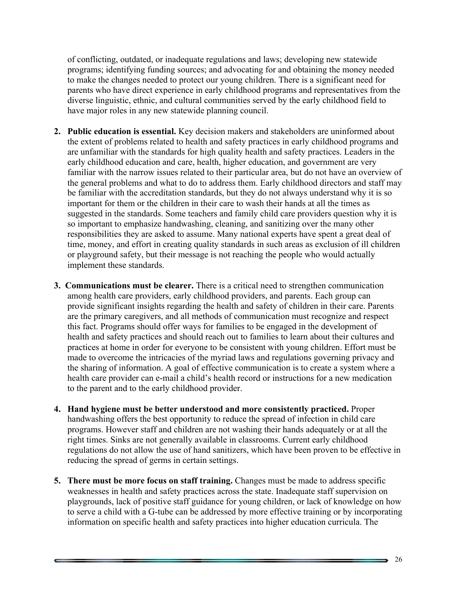of conflicting, outdated, or inadequate regulations and laws; developing new statewide programs; identifying funding sources; and advocating for and obtaining the money needed to make the changes needed to protect our young children. There is a significant need for parents who have direct experience in early childhood programs and representatives from the diverse linguistic, ethnic, and cultural communities served by the early childhood field to have major roles in any new statewide planning council.

- **2. Public education is essential.** Key decision makers and stakeholders are uninformed about the extent of problems related to health and safety practices in early childhood programs and are unfamiliar with the standards for high quality health and safety practices. Leaders in the early childhood education and care, health, higher education, and government are very familiar with the narrow issues related to their particular area, but do not have an overview of the general problems and what to do to address them. Early childhood directors and staff may be familiar with the accreditation standards, but they do not always understand why it is so important for them or the children in their care to wash their hands at all the times as suggested in the standards. Some teachers and family child care providers question why it is so important to emphasize handwashing, cleaning, and sanitizing over the many other responsibilities they are asked to assume. Many national experts have spent a great deal of time, money, and effort in creating quality standards in such areas as exclusion of ill children or playground safety, but their message is not reaching the people who would actually implement these standards.
- **3. Communications must be clearer.** There is a critical need to strengthen communication among health care providers, early childhood providers, and parents. Each group can provide significant insights regarding the health and safety of children in their care. Parents are the primary caregivers, and all methods of communication must recognize and respect this fact. Programs should offer ways for families to be engaged in the development of health and safety practices and should reach out to families to learn about their cultures and practices at home in order for everyone to be consistent with young children. Effort must be made to overcome the intricacies of the myriad laws and regulations governing privacy and the sharing of information. A goal of effective communication is to create a system where a health care provider can e-mail a child's health record or instructions for a new medication to the parent and to the early childhood provider.
- **4. Hand hygiene must be better understood and more consistently practiced.** Proper handwashing offers the best opportunity to reduce the spread of infection in child care programs. However staff and children are not washing their hands adequately or at all the right times. Sinks are not generally available in classrooms. Current early childhood regulations do not allow the use of hand sanitizers, which have been proven to be effective in reducing the spread of germs in certain settings.
- **5. There must be more focus on staff training.** Changes must be made to address specific weaknesses in health and safety practices across the state. Inadequate staff supervision on playgrounds, lack of positive staff guidance for young children, or lack of knowledge on how to serve a child with a G-tube can be addressed by more effective training or by incorporating information on specific health and safety practices into higher education curricula. The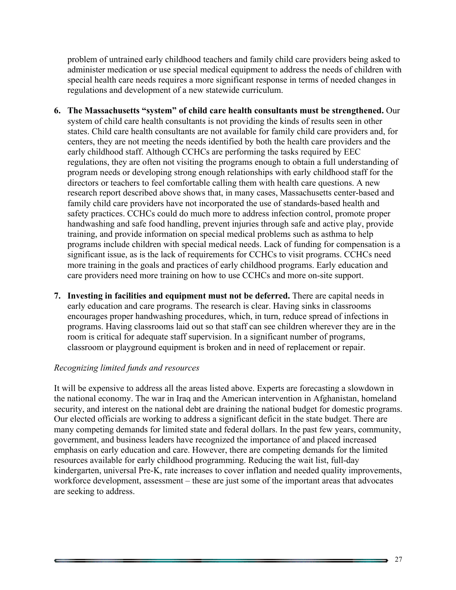problem of untrained early childhood teachers and family child care providers being asked to administer medication or use special medical equipment to address the needs of children with special health care needs requires a more significant response in terms of needed changes in regulations and development of a new statewide curriculum.

- **6. The Massachusetts "system" of child care health consultants must be strengthened.** Our system of child care health consultants is not providing the kinds of results seen in other states. Child care health consultants are not available for family child care providers and, for centers, they are not meeting the needs identified by both the health care providers and the early childhood staff. Although CCHCs are performing the tasks required by EEC regulations, they are often not visiting the programs enough to obtain a full understanding of program needs or developing strong enough relationships with early childhood staff for the directors or teachers to feel comfortable calling them with health care questions. A new research report described above shows that, in many cases, Massachusetts center-based and family child care providers have not incorporated the use of standards-based health and safety practices. CCHCs could do much more to address infection control, promote proper handwashing and safe food handling, prevent injuries through safe and active play, provide training, and provide information on special medical problems such as asthma to help programs include children with special medical needs. Lack of funding for compensation is a significant issue, as is the lack of requirements for CCHCs to visit programs. CCHCs need more training in the goals and practices of early childhood programs. Early education and care providers need more training on how to use CCHCs and more on-site support.
- **7. Investing in facilities and equipment must not be deferred.** There are capital needs in early education and care programs. The research is clear. Having sinks in classrooms encourages proper handwashing procedures, which, in turn, reduce spread of infections in programs. Having classrooms laid out so that staff can see children wherever they are in the room is critical for adequate staff supervision. In a significant number of programs, classroom or playground equipment is broken and in need of replacement or repair.

#### *Recognizing limited funds and resources*

It will be expensive to address all the areas listed above. Experts are forecasting a slowdown in the national economy. The war in Iraq and the American intervention in Afghanistan, homeland security, and interest on the national debt are draining the national budget for domestic programs. Our elected officials are working to address a significant deficit in the state budget. There are many competing demands for limited state and federal dollars. In the past few years, community, government, and business leaders have recognized the importance of and placed increased emphasis on early education and care. However, there are competing demands for the limited resources available for early childhood programming. Reducing the wait list, full-day kindergarten, universal Pre-K, rate increases to cover inflation and needed quality improvements, workforce development, assessment – these are just some of the important areas that advocates are seeking to address.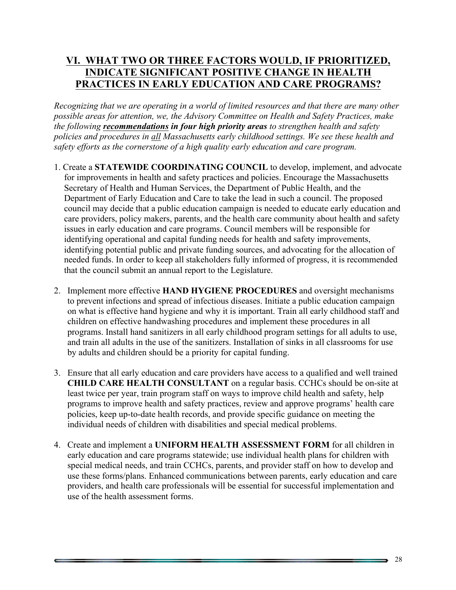## **VI. WHAT TWO OR THREE FACTORS WOULD, IF PRIORITIZED, INDICATE SIGNIFICANT POSITIVE CHANGE IN HEALTH PRACTICES IN EARLY EDUCATION AND CARE PROGRAMS?**

*Recognizing that we are operating in a world of limited resources and that there are many other possible areas for attention, we, the Advisory Committee on Health and Safety Practices, make the following recommendations in four high priority areas to strengthen health and safety policies and procedures in all Massachusetts early childhood settings. We see these health and safety efforts as the cornerstone of a high quality early education and care program.*

- 1. Create a **STATEWIDE COORDINATING COUNCIL** to develop, implement, and advocate for improvements in health and safety practices and policies. Encourage the Massachusetts Secretary of Health and Human Services, the Department of Public Health, and the Department of Early Education and Care to take the lead in such a council. The proposed council may decide that a public education campaign is needed to educate early education and care providers, policy makers, parents, and the health care community about health and safety issues in early education and care programs. Council members will be responsible for identifying operational and capital funding needs for health and safety improvements, identifying potential public and private funding sources, and advocating for the allocation of needed funds. In order to keep all stakeholders fully informed of progress, it is recommended that the council submit an annual report to the Legislature.
- 2. Implement more effective **HAND HYGIENE PROCEDURES** and oversight mechanisms to prevent infections and spread of infectious diseases. Initiate a public education campaign on what is effective hand hygiene and why it is important. Train all early childhood staff and children on effective handwashing procedures and implement these procedures in all programs. Install hand sanitizers in all early childhood program settings for all adults to use, and train all adults in the use of the sanitizers. Installation of sinks in all classrooms for use by adults and children should be a priority for capital funding.
- 3. Ensure that all early education and care providers have access to a qualified and well trained **CHILD CARE HEALTH CONSULTANT** on a regular basis. CCHCs should be on-site at least twice per year, train program staff on ways to improve child health and safety, help programs to improve health and safety practices, review and approve programs' health care policies, keep up-to-date health records, and provide specific guidance on meeting the individual needs of children with disabilities and special medical problems.
- 4. Create and implement a **UNIFORM HEALTH ASSESSMENT FORM** for all children in early education and care programs statewide; use individual health plans for children with special medical needs, and train CCHCs, parents, and provider staff on how to develop and use these forms/plans. Enhanced communications between parents, early education and care providers, and health care professionals will be essential for successful implementation and use of the health assessment forms.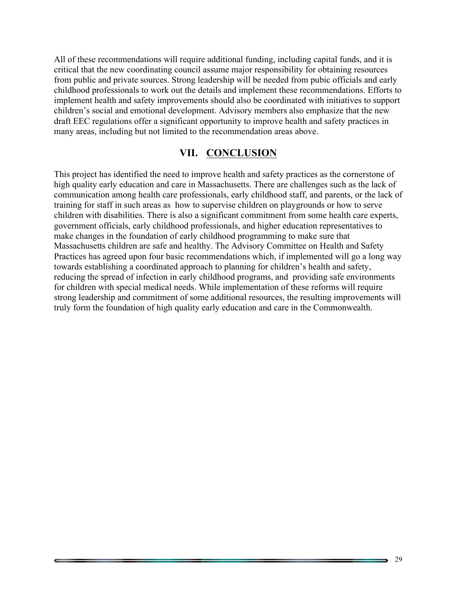All of these recommendations will require additional funding, including capital funds, and it is critical that the new coordinating council assume major responsibility for obtaining resources from public and private sources. Strong leadership will be needed from pubic officials and early childhood professionals to work out the details and implement these recommendations. Efforts to implement health and safety improvements should also be coordinated with initiatives to support children's social and emotional development. Advisory members also emphasize that the new draft EEC regulations offer a significant opportunity to improve health and safety practices in many areas, including but not limited to the recommendation areas above.

#### **VII. CONCLUSION**

This project has identified the need to improve health and safety practices as the cornerstone of high quality early education and care in Massachusetts. There are challenges such as the lack of communication among health care professionals, early childhood staff, and parents, or the lack of training for staff in such areas as how to supervise children on playgrounds or how to serve children with disabilities. There is also a significant commitment from some health care experts, government officials, early childhood professionals, and higher education representatives to make changes in the foundation of early childhood programming to make sure that Massachusetts children are safe and healthy. The Advisory Committee on Health and Safety Practices has agreed upon four basic recommendations which, if implemented will go a long way towards establishing a coordinated approach to planning for children's health and safety, reducing the spread of infection in early childhood programs, and providing safe environments for children with special medical needs. While implementation of these reforms will require strong leadership and commitment of some additional resources, the resulting improvements will truly form the foundation of high quality early education and care in the Commonwealth.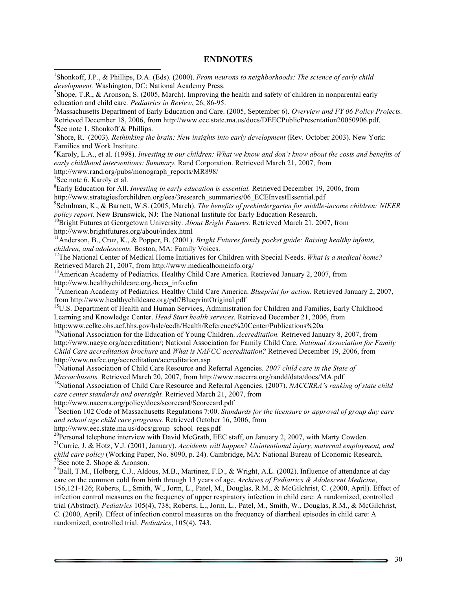#### **ENDNOTES**

<sup>1</sup>Shonkoff, J.P., & Phillips, D.A. (Eds). (2000). *From neurons to neighborhoods: The science of early child* 

*development.* Washington, DC: National Academy Press. 2 <sup>2</sup>Shope, T.R., & Aronson, S. (2005, March). Improving the health and safety of children in nonparental early education and child care. Pediatrics in Review, 26, 86-95. <sup>3</sup>Massachusetts Department of Early Education and Care. (2005, September 6). *Overview and FY 06 Policy Projects.* Retrieved December 18, 2006, from http://www.eec.state.ma.us/docs/DEECPublicPresentation20050906.pdf. <sup>4</sup>See note 1. Shonkoff  $&$  Phillips. <sup>5</sup>Shore, R. (2003). *Rethinking the brain: New insights into early development* (Rev. October 2003). New York: Families and Work Institute. 6 Karoly, L.A., et al. (1998). *Investing in our children: What we know and don't know about the costs and benefits of early childhood interventions: Summary.* Rand Corporation. Retrieved March 21, 2007, from http://www.rand.org/pubs/monograph\_reports/MR898/ <sup>7</sup>  $7$ See note 6. Karoly et al. 8 Early Education for All. *Investing in early education is essential.* Retrieved December 19, 2006, from http://www.strategiesforchildren.org/eea/3research\_summaries/06\_ECEInvestEssential.pdf 9 Schulman, K., & Barnett, W.S. (2005, March). *The benefits of prekindergarten for middle-income children: NIEER policy report.* New Brunswick, NJ: The National Institute for Early Education Research.<br><sup>10</sup>Bright Futures at Georgetown University. *About Bright Futures*. Retrieved March 21, 2007, from http://www.brightfutures.org/about/index.html<br><sup>11</sup>Anderson, B., Cruz, K., & Popper, B. (2001). *Bright Futures family pocket guide: Raising healthy infants, children, and adolescents. Boston, MA: Family Voices.* <sup>12</sup>The National Center of Medical Home Initiatives for Children with Special Needs. *What is a medical home?* Retrieved March 21, 2007, from http://www.medicalhomeinfo.org/<br><sup>13</sup>American Academy of Pediatrics. Healthy Child Care America. Retrieved January 2, 2007, from http://www.healthychildcare.org./hcca\_info.cfm <sup>14</sup>American Academy of Pediatrics. Healthy Child Care America. *Blueprint for action*. Retrieved January 2, 2007, from http://www.healthychildcare.org/pdf/BlueprintOriginal.pdf<br><sup>15</sup>U.S. Department of Health and Human Services, Administration for Children and Families, Early Childhood Learning and Knowledge Center. *Head Start health services.* Retrieved December 21, 2006, from http:www.eclke.ohs.acf.hhs.gov/hslc/ecdh/Health/Reference%20Center/Publications%20a <sup>16</sup>National Association for the Education of Young Children. *Accreditation*. Retrieved January 8, 2007, from http://www.naeyc.org/accreditation/; National Association for Family Child Care. *National Association for Family Child Care accreditation brochure* and *What is NAFCC accreditation?* Retrieved December 19, 2006, from http://www.nafcc.org/accreditation/accreditation.asp <sup>17</sup>National Association of Child Care Resource and Referral Agencies. *2007 child care in the State of Massachusetts*. Retrieved March 20, 2007, from http://www.naccrra.org/randd/data/docs/MA.pdf <sup>18</sup>National Association of Child Care Resource and Referral Agencies. (2007). *NACCRRA's ranking of state child care center standards and oversight.* Retrieved March 21, 2007, from http://www.naccrra.org/policy/docs/scorecard/Scorecard.pdf 19Section 102 Code of Massachusetts Regulations 7:00. *Standards for the licensure or approval of group day care and school age child care programs.* Retrieved October 16, 2006, from http://www.eec.state.ma.us/docs/group\_school\_regs.pdf <sup>20</sup>Personal telephone interview with David McGrath, EEC staff, on January 2, 2007, with Marty Cowden.<br><sup>21</sup>Currie, J. & Hotz, V.J. (2001, January). *Accidents will happen? Unintentional injury, maternal employment, and child care policy* (Working Paper, No. 8090, p. 24). Cambridge, MA: National Bureau of Economic Research. <sup>22</sup>See note 2. Shope & Aronson. <sup>23</sup>Ball, T.M., Holberg, C.J., Aldous, M.B., Martinez, F.D., & Wright, A.L. (2002). Influence of attendance at day care on the common cold from birth through 13 years of age. *Archives of Pediatrics & Adolescent Medicine*, 156,121-126; Roberts, L., Smith, W., Jorm, L., Patel, M., Douglas, R.M., & McGilchrist, C. (2000, April). Effect of infection control measures on the frequency of upper respiratory infection in child care: A randomized, controlled trial (Abstract). *Pediatrics* 105(4), 738; Roberts, L., Jorm, L., Patel, M., Smith, W., Douglas, R.M., & McGilchrist, C. (2000, April). Effect of infection control measures on the frequency of diarrheal episodes in child care: A randomized, controlled trial. *Pediatrics*, 105(4), 743.